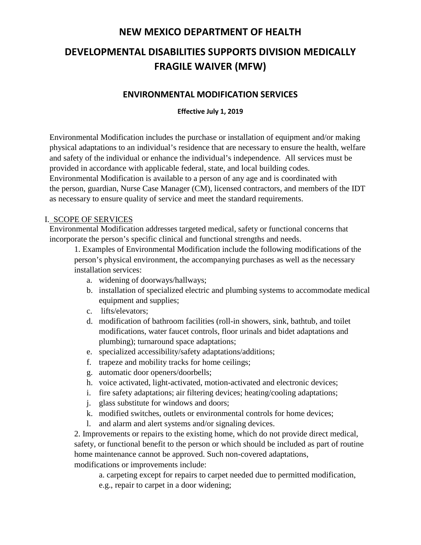# **DEVELOPMENTAL DISABILITIES SUPPORTS DIVISION MEDICALLY FRAGILE WAIVER (MFW)**

#### **ENVIRONMENTAL MODIFICATION SERVICES**

#### **Effective July 1, 2019**

Environmental Modification includes the purchase or installation of equipment and/or making physical adaptations to an individual's residence that are necessary to ensure the health, welfare and safety of the individual or enhance the individual's independence. All services must be provided in accordance with applicable federal, state, and local building codes. Environmental Modification is available to a person of any age and is coordinated with the person, guardian, Nurse Case Manager (CM), licensed contractors, and members of the IDT as necessary to ensure quality of service and meet the standard requirements.

#### I. SCOPE OF SERVICES

Environmental Modification addresses targeted medical, safety or functional concerns that incorporate the person's specific clinical and functional strengths and needs.

1. Examples of Environmental Modification include the following modifications of the person's physical environment, the accompanying purchases as well as the necessary installation services:

- a. widening of doorways/hallways;
- b. installation of specialized electric and plumbing systems to accommodate medical equipment and supplies;
- c. lifts/elevators;
- d. modification of bathroom facilities (roll-in showers, sink, bathtub, and toilet modifications, water faucet controls, floor urinals and bidet adaptations and plumbing); turnaround space adaptations;
- e. specialized accessibility/safety adaptations/additions;
- f. trapeze and mobility tracks for home ceilings;
- g. automatic door openers/doorbells;
- h. voice activated, light-activated, motion-activated and electronic devices;
- i. fire safety adaptations; air filtering devices; heating/cooling adaptations;
- j. glass substitute for windows and doors;
- k. modified switches, outlets or environmental controls for home devices;
- l. and alarm and alert systems and/or signaling devices.

2. Improvements or repairs to the existing home, which do not provide direct medical, safety, or functional benefit to the person or which should be included as part of routine home maintenance cannot be approved. Such non-covered adaptations, modifications or improvements include:

a. carpeting except for repairs to carpet needed due to permitted modification,

e.g., repair to carpet in a door widening;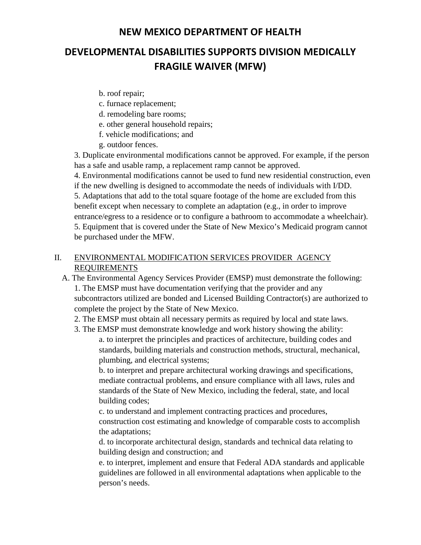# **DEVELOPMENTAL DISABILITIES SUPPORTS DIVISION MEDICALLY FRAGILE WAIVER (MFW)**

- b. roof repair;
- c. furnace replacement;
- d. remodeling bare rooms;
- e. other general household repairs;
- f. vehicle modifications; and
- g. outdoor fences.

3. Duplicate environmental modifications cannot be approved. For example, if the person has a safe and usable ramp, a replacement ramp cannot be approved.

4. Environmental modifications cannot be used to fund new residential construction, even if the new dwelling is designed to accommodate the needs of individuals with I/DD. 5. Adaptations that add to the total square footage of the home are excluded from this benefit except when necessary to complete an adaptation (e.g., in order to improve entrance/egress to a residence or to configure a bathroom to accommodate a wheelchair). 5. Equipment that is covered under the State of New Mexico's Medicaid program cannot be purchased under the MFW.

#### II. ENVIRONMENTAL MODIFICATION SERVICES PROVIDER AGENCY REQUIREMENTS

- A. The Environmental Agency Services Provider (EMSP) must demonstrate the following: 1. The EMSP must have documentation verifying that the provider and any subcontractors utilized are bonded and Licensed Building Contractor(s) are authorized to complete the project by the State of New Mexico.
	- 2. The EMSP must obtain all necessary permits as required by local and state laws.

3. The EMSP must demonstrate knowledge and work history showing the ability: a. to interpret the principles and practices of architecture, building codes and standards, building materials and construction methods, structural, mechanical, plumbing, and electrical systems;

b. to interpret and prepare architectural working drawings and specifications, mediate contractual problems, and ensure compliance with all laws, rules and standards of the State of New Mexico, including the federal, state, and local building codes;

c. to understand and implement contracting practices and procedures, construction cost estimating and knowledge of comparable costs to accomplish the adaptations;

d. to incorporate architectural design, standards and technical data relating to building design and construction; and

e. to interpret, implement and ensure that Federal ADA standards and applicable guidelines are followed in all environmental adaptations when applicable to the person's needs.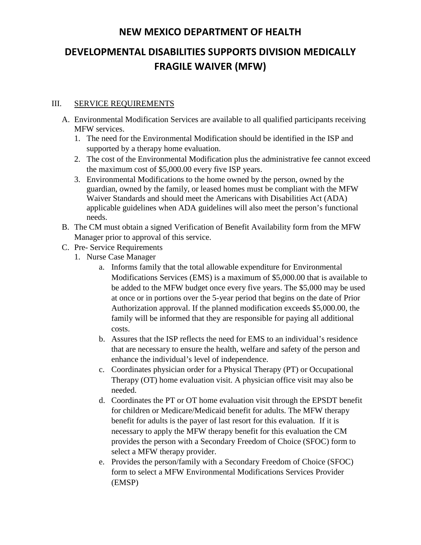# **DEVELOPMENTAL DISABILITIES SUPPORTS DIVISION MEDICALLY FRAGILE WAIVER (MFW)**

#### III. SERVICE REQUIREMENTS

- A. Environmental Modification Services are available to all qualified participants receiving MFW services.
	- 1. The need for the Environmental Modification should be identified in the ISP and supported by a therapy home evaluation.
	- 2. The cost of the Environmental Modification plus the administrative fee cannot exceed the maximum cost of \$5,000.00 every five ISP years.
	- 3. Environmental Modifications to the home owned by the person, owned by the guardian, owned by the family, or leased homes must be compliant with the MFW Waiver Standards and should meet the Americans with Disabilities Act (ADA) applicable guidelines when ADA guidelines will also meet the person's functional needs.
- B. The CM must obtain a signed Verification of Benefit Availability form from the MFW Manager prior to approval of this service.
- C. Pre- Service Requirements
	- 1. Nurse Case Manager
		- a. Informs family that the total allowable expenditure for Environmental Modifications Services (EMS) is a maximum of \$5,000.00 that is available to be added to the MFW budget once every five years. The \$5,000 may be used at once or in portions over the 5-year period that begins on the date of Prior Authorization approval. If the planned modification exceeds \$5,000.00, the family will be informed that they are responsible for paying all additional costs.
		- b. Assures that the ISP reflects the need for EMS to an individual's residence that are necessary to ensure the health, welfare and safety of the person and enhance the individual's level of independence.
		- c. Coordinates physician order for a Physical Therapy (PT) or Occupational Therapy (OT) home evaluation visit. A physician office visit may also be needed.
		- d. Coordinates the PT or OT home evaluation visit through the EPSDT benefit for children or Medicare/Medicaid benefit for adults. The MFW therapy benefit for adults is the payer of last resort for this evaluation. If it is necessary to apply the MFW therapy benefit for this evaluation the CM provides the person with a Secondary Freedom of Choice (SFOC) form to select a MFW therapy provider.
		- e. Provides the person/family with a Secondary Freedom of Choice (SFOC) form to select a MFW Environmental Modifications Services Provider (EMSP)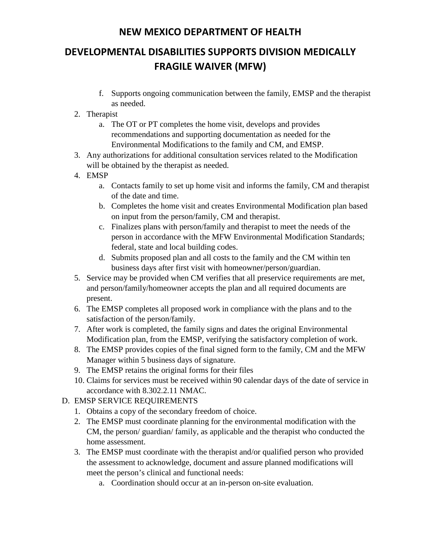# **DEVELOPMENTAL DISABILITIES SUPPORTS DIVISION MEDICALLY FRAGILE WAIVER (MFW)**

f. Supports ongoing communication between the family, EMSP and the therapist as needed.

#### 2. Therapist

- a. The OT or PT completes the home visit, develops and provides recommendations and supporting documentation as needed for the Environmental Modifications to the family and CM, and EMSP.
- 3. Any authorizations for additional consultation services related to the Modification will be obtained by the therapist as needed.
- 4. EMSP
	- a. Contacts family to set up home visit and informs the family, CM and therapist of the date and time.
	- b. Completes the home visit and creates Environmental Modification plan based on input from the person/family, CM and therapist.
	- c. Finalizes plans with person/family and therapist to meet the needs of the person in accordance with the MFW Environmental Modification Standards; federal, state and local building codes.
	- d. Submits proposed plan and all costs to the family and the CM within ten business days after first visit with homeowner/person/guardian.
- 5. Service may be provided when CM verifies that all preservice requirements are met, and person/family/homeowner accepts the plan and all required documents are present.
- 6. The EMSP completes all proposed work in compliance with the plans and to the satisfaction of the person/family.
- 7. After work is completed, the family signs and dates the original Environmental Modification plan, from the EMSP, verifying the satisfactory completion of work.
- 8. The EMSP provides copies of the final signed form to the family, CM and the MFW Manager within 5 business days of signature.
- 9. The EMSP retains the original forms for their files
- 10. Claims for services must be received within 90 calendar days of the date of service in accordance with 8.302.2.11 NMAC.

#### D. EMSP SERVICE REQUIREMENTS

- 1. Obtains a copy of the secondary freedom of choice.
- 2. The EMSP must coordinate planning for the environmental modification with the CM, the person/ guardian/ family, as applicable and the therapist who conducted the home assessment.
- 3. The EMSP must coordinate with the therapist and/or qualified person who provided the assessment to acknowledge, document and assure planned modifications will meet the person's clinical and functional needs:
	- a. Coordination should occur at an in-person on-site evaluation.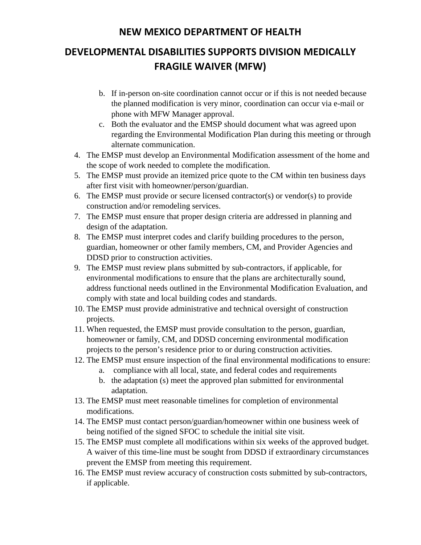# **DEVELOPMENTAL DISABILITIES SUPPORTS DIVISION MEDICALLY FRAGILE WAIVER (MFW)**

- b. If in-person on-site coordination cannot occur or if this is not needed because the planned modification is very minor, coordination can occur via e-mail or phone with MFW Manager approval.
- c. Both the evaluator and the EMSP should document what was agreed upon regarding the Environmental Modification Plan during this meeting or through alternate communication.
- 4. The EMSP must develop an Environmental Modification assessment of the home and the scope of work needed to complete the modification.
- 5. The EMSP must provide an itemized price quote to the CM within ten business days after first visit with homeowner/person/guardian.
- 6. The EMSP must provide or secure licensed contractor(s) or vendor(s) to provide construction and/or remodeling services.
- 7. The EMSP must ensure that proper design criteria are addressed in planning and design of the adaptation.
- 8. The EMSP must interpret codes and clarify building procedures to the person, guardian, homeowner or other family members, CM, and Provider Agencies and DDSD prior to construction activities.
- 9. The EMSP must review plans submitted by sub-contractors, if applicable, for environmental modifications to ensure that the plans are architecturally sound, address functional needs outlined in the Environmental Modification Evaluation, and comply with state and local building codes and standards.
- 10. The EMSP must provide administrative and technical oversight of construction projects.
- 11. When requested, the EMSP must provide consultation to the person, guardian, homeowner or family, CM, and DDSD concerning environmental modification projects to the person's residence prior to or during construction activities.
- 12. The EMSP must ensure inspection of the final environmental modifications to ensure:
	- a. compliance with all local, state, and federal codes and requirements
	- b. the adaptation (s) meet the approved plan submitted for environmental adaptation.
- 13. The EMSP must meet reasonable timelines for completion of environmental modifications.
- 14. The EMSP must contact person/guardian/homeowner within one business week of being notified of the signed SFOC to schedule the initial site visit.
- 15. The EMSP must complete all modifications within six weeks of the approved budget. A waiver of this time-line must be sought from DDSD if extraordinary circumstances prevent the EMSP from meeting this requirement.
- 16. The EMSP must review accuracy of construction costs submitted by sub-contractors, if applicable.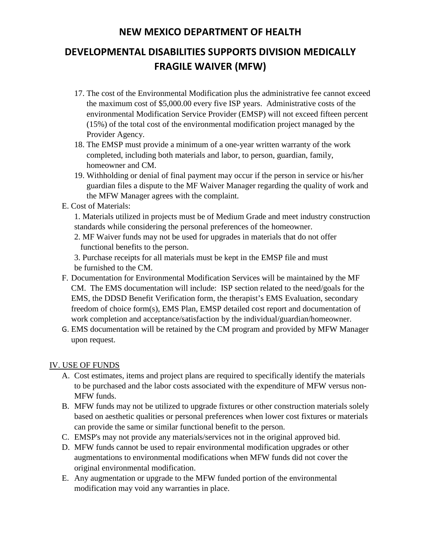# **DEVELOPMENTAL DISABILITIES SUPPORTS DIVISION MEDICALLY FRAGILE WAIVER (MFW)**

- 17. The cost of the Environmental Modification plus the administrative fee cannot exceed the maximum cost of \$5,000.00 every five ISP years. Administrative costs of the environmental Modification Service Provider (EMSP) will not exceed fifteen percent (15%) of the total cost of the environmental modification project managed by the Provider Agency.
- 18. The EMSP must provide a minimum of a one-year written warranty of the work completed, including both materials and labor, to person, guardian, family, homeowner and CM.
- 19. Withholding or denial of final payment may occur if the person in service or his/her guardian files a dispute to the MF Waiver Manager regarding the quality of work and the MFW Manager agrees with the complaint.
- E. Cost of Materials:
	- 1. Materials utilized in projects must be of Medium Grade and meet industry construction standards while considering the personal preferences of the homeowner.
	- 2. MF Waiver funds may not be used for upgrades in materials that do not offer functional benefits to the person.

3. Purchase receipts for all materials must be kept in the EMSP file and must be furnished to the CM.

- F. Documentation for Environmental Modification Services will be maintained by the MF CM. The EMS documentation will include: ISP section related to the need/goals for the EMS, the DDSD Benefit Verification form, the therapist's EMS Evaluation, secondary freedom of choice form(s), EMS Plan, EMSP detailed cost report and documentation of work completion and acceptance/satisfaction by the individual/guardian/homeowner.
- G. EMS documentation will be retained by the CM program and provided by MFW Manager upon request.

#### IV. USE OF FUNDS

- A. Cost estimates, items and project plans are required to specifically identify the materials to be purchased and the labor costs associated with the expenditure of MFW versus non-MFW funds.
- B. MFW funds may not be utilized to upgrade fixtures or other construction materials solely based on aesthetic qualities or personal preferences when lower cost fixtures or materials can provide the same or similar functional benefit to the person.
- C. EMSP's may not provide any materials/services not in the original approved bid.
- D. MFW funds cannot be used to repair environmental modification upgrades or other augmentations to environmental modifications when MFW funds did not cover the original environmental modification.
- E. Any augmentation or upgrade to the MFW funded portion of the environmental modification may void any warranties in place.